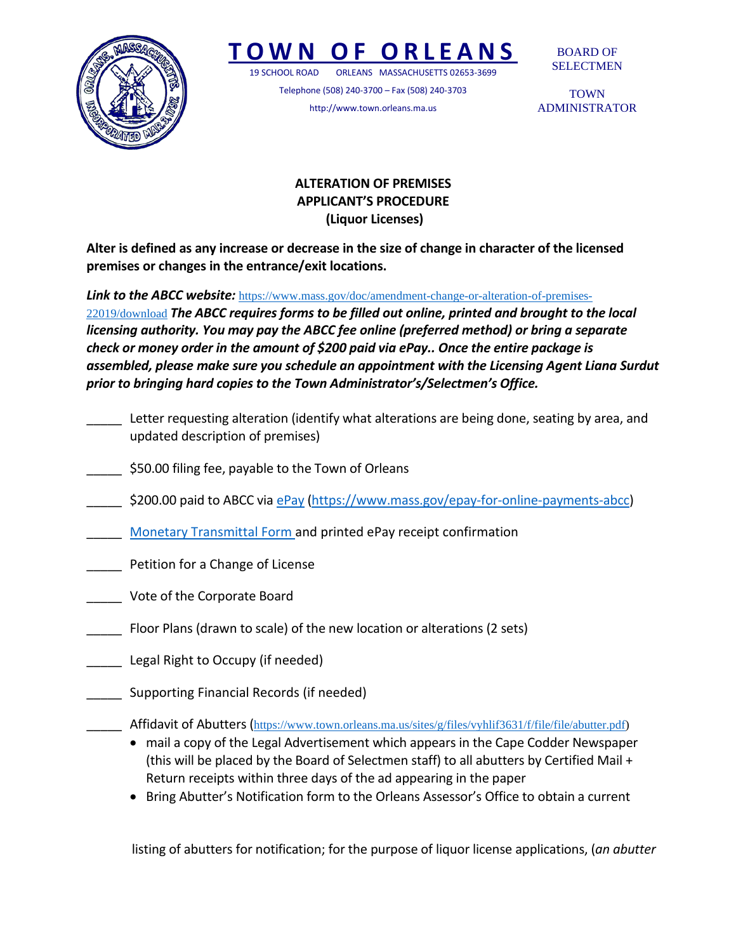

## *OF ORLEA*

19 SCHOOL ROAD ORLEANS MASSACHUSETTS 02653-3699

Telephone (508) 240-3700 – Fax (508) 240-3703 http://www.town.orleans.ma.us

BOARD OF SELECTMEN

TOWN ADMINISTRATOR

## **ALTERATION OF PREMISES APPLICANT'S PROCEDURE (Liquor Licenses)**

**Alter is defined as any increase or decrease in the size of change in character of the licensed premises or changes in the entrance/exit locations.**

**Link to the ABCC website:** [https://www.mass.gov/doc/amendment-change-or-alteration-of-premises-](https://www.mass.gov/doc/amendment-change-or-alteration-of-premises-22019/download)

[22019/download](https://www.mass.gov/doc/amendment-change-or-alteration-of-premises-22019/download) *The ABCC requires forms to be filled out online, printed and brought to the local licensing authority. You may pay the ABCC fee online (preferred method) or bring a separate check or money order in the amount of \$200 paid via ePay.. Once the entire package is assembled, please make sure you schedule an appointment with the Licensing Agent Liana Surdut prior to bringing hard copies to the Town Administrator's/Selectmen's Office.*

- Letter requesting alteration (identify what alterations are being done, seating by area, and updated description of premises)
- \$50.00 filing fee, payable to the Town of Orleans
- \$200.00 paid to ABCC via [ePay](https://www.mass.gov/epay-for-online-payments-abcc) [\(https://www.mass.gov/epay-for-online-payments-abcc\)](https://www.mass.gov/epay-for-online-payments-abcc)
- **[Monetary Transmittal Form a](https://www.mass.gov/files/documents/2019/04/18/monetarytransmittalform2018.pdf)nd printed ePay receipt confirmation**
- \_\_\_\_\_ Petition for a Change of License
- \_\_\_\_\_ Vote of the Corporate Board
	- \_\_\_\_\_ Floor Plans (drawn to scale) of the new location or alterations (2 sets)
- \_\_\_\_\_ Legal Right to Occupy (if needed)
- \_\_\_\_\_ Supporting Financial Records (if needed)
	- \_\_\_\_\_ Affidavit of Abutters ([https://www.town.orleans.ma.us/sites/g/files/vyhlif3631/f/file/file/abutter.pdf\)](https://www.town.orleans.ma.us/sites/g/files/vyhlif3631/f/file/file/abutter.pdf)
		- mail a copy of the Legal Advertisement which appears in the Cape Codder Newspaper (this will be placed by the Board of Selectmen staff) to all abutters by Certified Mail + Return receipts within three days of the ad appearing in the paper
		- Bring Abutter's Notification form to the Orleans Assessor's Office to obtain a current

listing of abutters for notification; for the purpose of liquor license applications, (*an abutter*